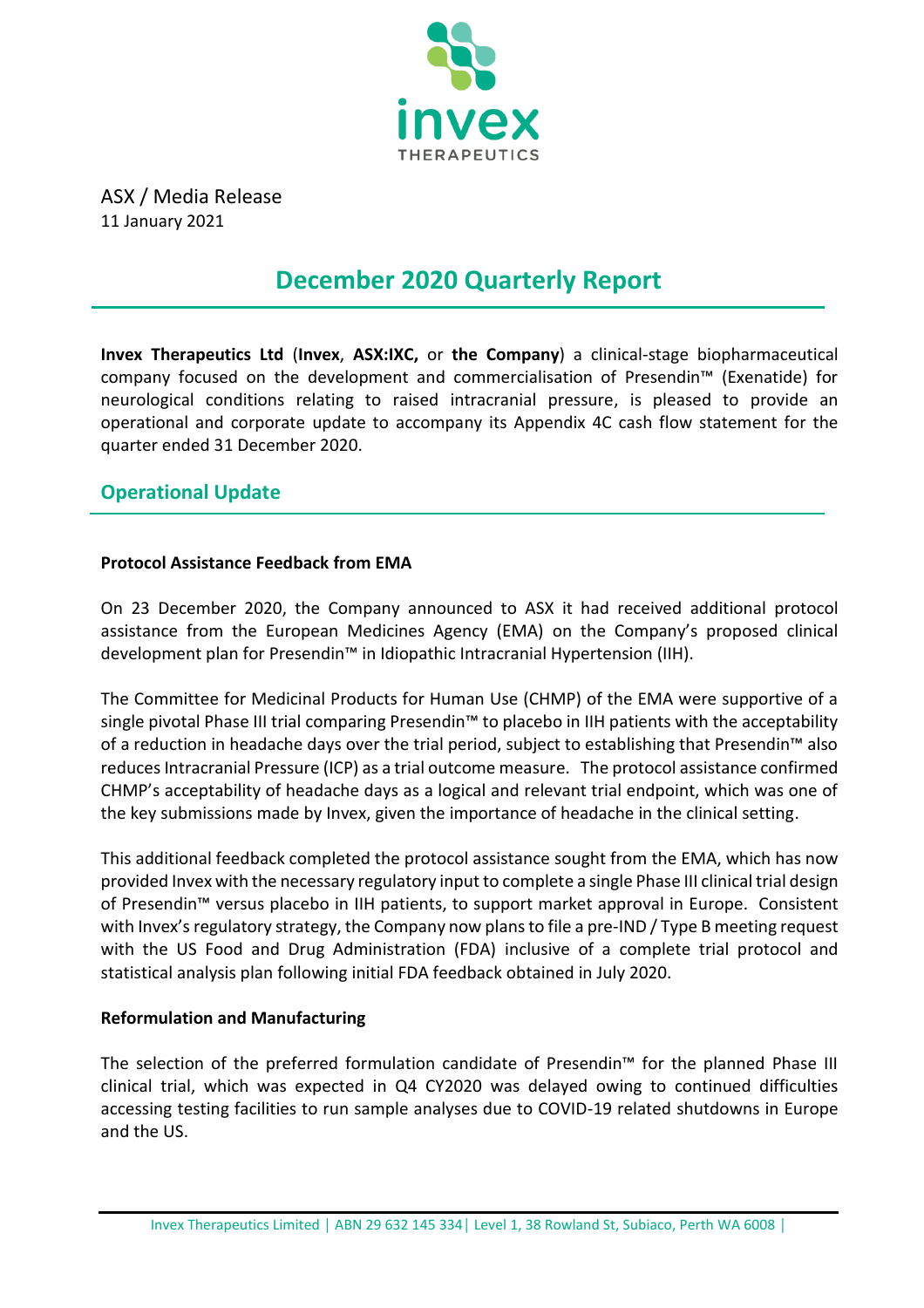

ASX / Media Release 11 January 2021

# **December 2020 Quarterly Report**

**Invex Therapeutics Ltd** (**Invex**, **ASX:IXC,** or **the Company**) a clinical-stage biopharmaceutical company focused on the development and commercialisation of Presendin™ (Exenatide) for neurological conditions relating to raised intracranial pressure, is pleased to provide an operational and corporate update to accompany its Appendix 4C cash flow statement for the quarter ended 31 December 2020.

### **Operational Update**

### **Protocol Assistance Feedback from EMA**

On 23 December 2020, the Company announced to ASX it had received additional protocol assistance from the European Medicines Agency (EMA) on the Company's proposed clinical development plan for Presendin™ in Idiopathic Intracranial Hypertension (IIH).

The Committee for Medicinal Products for Human Use (CHMP) of the EMA were supportive of a single pivotal Phase III trial comparing Presendin™ to placebo in IIH patients with the acceptability of a reduction in headache days over the trial period, subject to establishing that Presendin™ also reduces Intracranial Pressure (ICP) as a trial outcome measure. The protocol assistance confirmed CHMP's acceptability of headache days as a logical and relevant trial endpoint, which was one of the key submissions made by Invex, given the importance of headache in the clinical setting.

This additional feedback completed the protocol assistance sought from the EMA, which has now provided Invex with the necessary regulatory input to complete a single Phase III clinical trial design of Presendin™ versus placebo in IIH patients, to support market approval in Europe. Consistent with Invex's regulatory strategy, the Company now plans to file a pre-IND / Type B meeting request with the US Food and Drug Administration (FDA) inclusive of a complete trial protocol and statistical analysis plan following initial FDA feedback obtained in July 2020.

### **Reformulation and Manufacturing**

The selection of the preferred formulation candidate of Presendin™ for the planned Phase III clinical trial, which was expected in Q4 CY2020 was delayed owing to continued difficulties accessing testing facilities to run sample analyses due to COVID-19 related shutdowns in Europe and the US.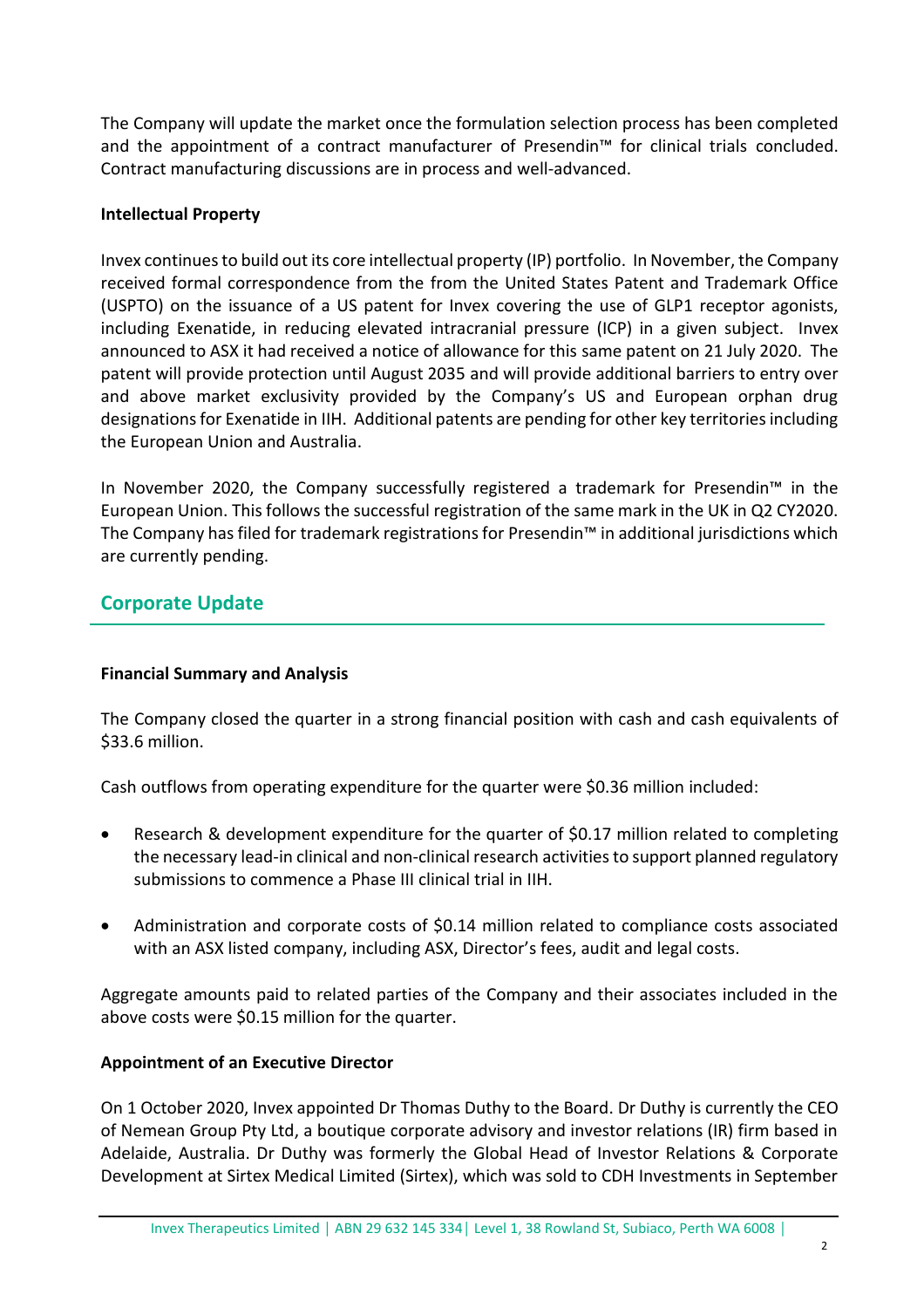The Company will update the market once the formulation selection process has been completed and the appointment of a contract manufacturer of Presendin™ for clinical trials concluded. Contract manufacturing discussions are in process and well-advanced.

### **Intellectual Property**

Invex continues to build out its core intellectual property (IP) portfolio. In November, the Company received formal correspondence from the from the United States Patent and Trademark Office (USPTO) on the issuance of a US patent for Invex covering the use of GLP1 receptor agonists, including Exenatide, in reducing elevated intracranial pressure (ICP) in a given subject. Invex announced to ASX it had received a notice of allowance for this same patent on 21 July 2020. The patent will provide protection until August 2035 and will provide additional barriers to entry over and above market exclusivity provided by the Company's US and European orphan drug designations for Exenatide in IIH. Additional patents are pending for other key territories including the European Union and Australia.

In November 2020, the Company successfully registered a trademark for Presendin™ in the European Union. This follows the successful registration of the same mark in the UK in Q2 CY2020. The Company has filed for trademark registrations for Presendin™ in additional jurisdictions which are currently pending.

### **Corporate Update**

### **Financial Summary and Analysis**

The Company closed the quarter in a strong financial position with cash and cash equivalents of \$33.6 million.

Cash outflows from operating expenditure for the quarter were \$0.36 million included:

- Research & development expenditure for the quarter of \$0.17 million related to completing the necessary lead-in clinical and non-clinical research activities to support planned regulatory submissions to commence a Phase III clinical trial in IIH.
- Administration and corporate costs of \$0.14 million related to compliance costs associated with an ASX listed company, including ASX, Director's fees, audit and legal costs.

Aggregate amounts paid to related parties of the Company and their associates included in the above costs were \$0.15 million for the quarter.

#### **Appointment of an Executive Director**

On 1 October 2020, Invex appointed Dr Thomas Duthy to the Board. Dr Duthy is currently the CEO of Nemean Group Pty Ltd, a boutique corporate advisory and investor relations (IR) firm based in Adelaide, Australia. Dr Duthy was formerly the Global Head of Investor Relations & Corporate Development at Sirtex Medical Limited (Sirtex), which was sold to CDH Investments in September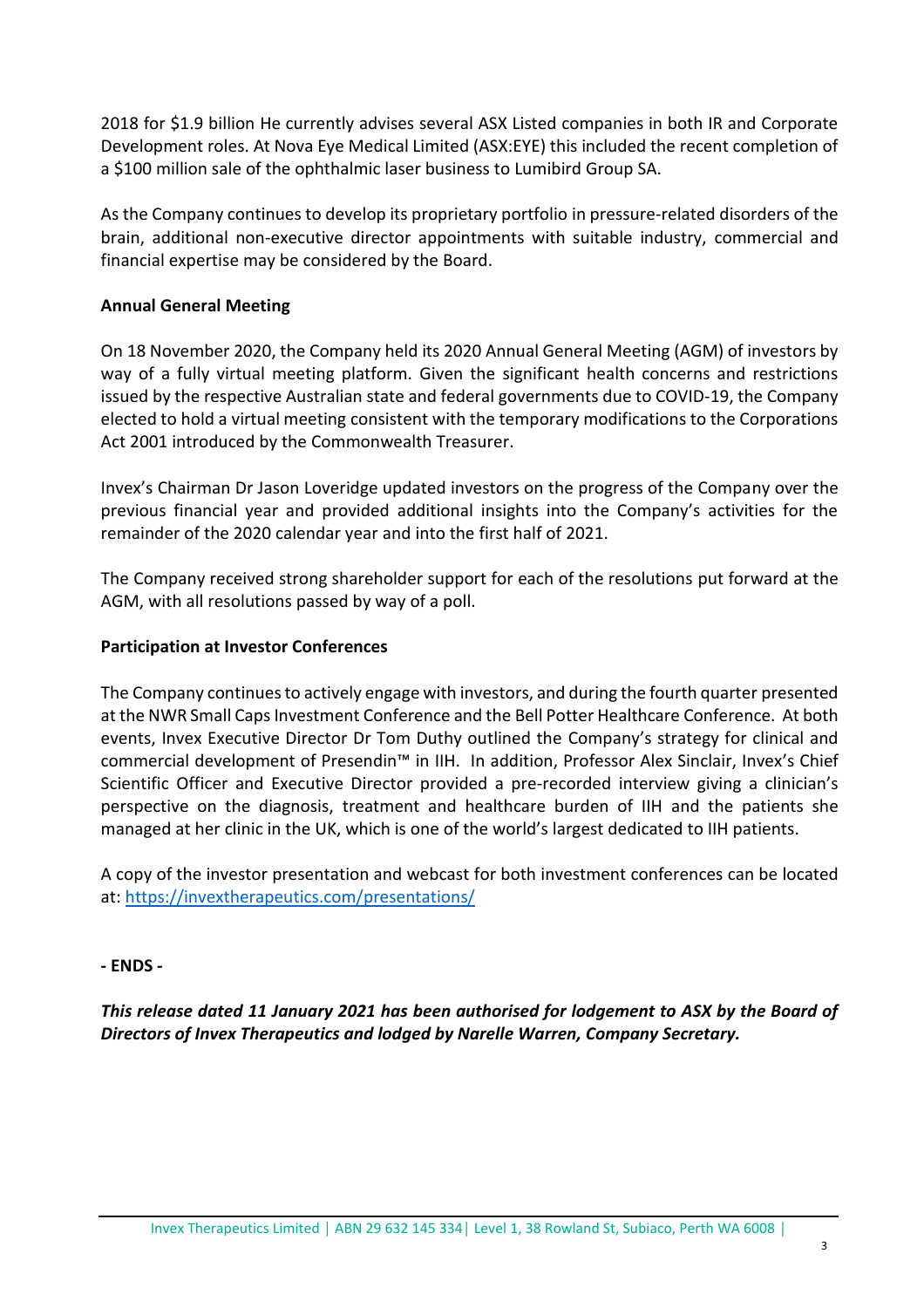2018 for \$1.9 billion He currently advises several ASX Listed companies in both IR and Corporate Development roles. At Nova Eye Medical Limited (ASX:EYE) this included the recent completion of a \$100 million sale of the ophthalmic laser business to Lumibird Group SA.

As the Company continues to develop its proprietary portfolio in pressure-related disorders of the brain, additional non-executive director appointments with suitable industry, commercial and financial expertise may be considered by the Board.

### **Annual General Meeting**

On 18 November 2020, the Company held its 2020 Annual General Meeting (AGM) of investors by way of a fully virtual meeting platform. Given the significant health concerns and restrictions issued by the respective Australian state and federal governments due to COVID-19, the Company elected to hold a virtual meeting consistent with the temporary modifications to the Corporations Act 2001 introduced by the Commonwealth Treasurer.

Invex's Chairman Dr Jason Loveridge updated investors on the progress of the Company over the previous financial year and provided additional insights into the Company's activities for the remainder of the 2020 calendar year and into the first half of 2021.

The Company received strong shareholder support for each of the resolutions put forward at the AGM, with all resolutions passed by way of a poll.

#### **Participation at Investor Conferences**

The Company continues to actively engage with investors, and during the fourth quarter presented at the NWR Small Caps Investment Conference and the Bell Potter Healthcare Conference. At both events, Invex Executive Director Dr Tom Duthy outlined the Company's strategy for clinical and commercial development of Presendin™ in IIH. In addition, Professor Alex Sinclair, Invex's Chief Scientific Officer and Executive Director provided a pre-recorded interview giving a clinician's perspective on the diagnosis, treatment and healthcare burden of IIH and the patients she managed at her clinic in the UK, which is one of the world's largest dedicated to IIH patients.

A copy of the investor presentation and webcast for both investment conferences can be located at:<https://invextherapeutics.com/presentations/>

### **- ENDS -**

*This release dated 11 January 2021 has been authorised for lodgement to ASX by the Board of Directors of Invex Therapeutics and lodged by Narelle Warren, Company Secretary.*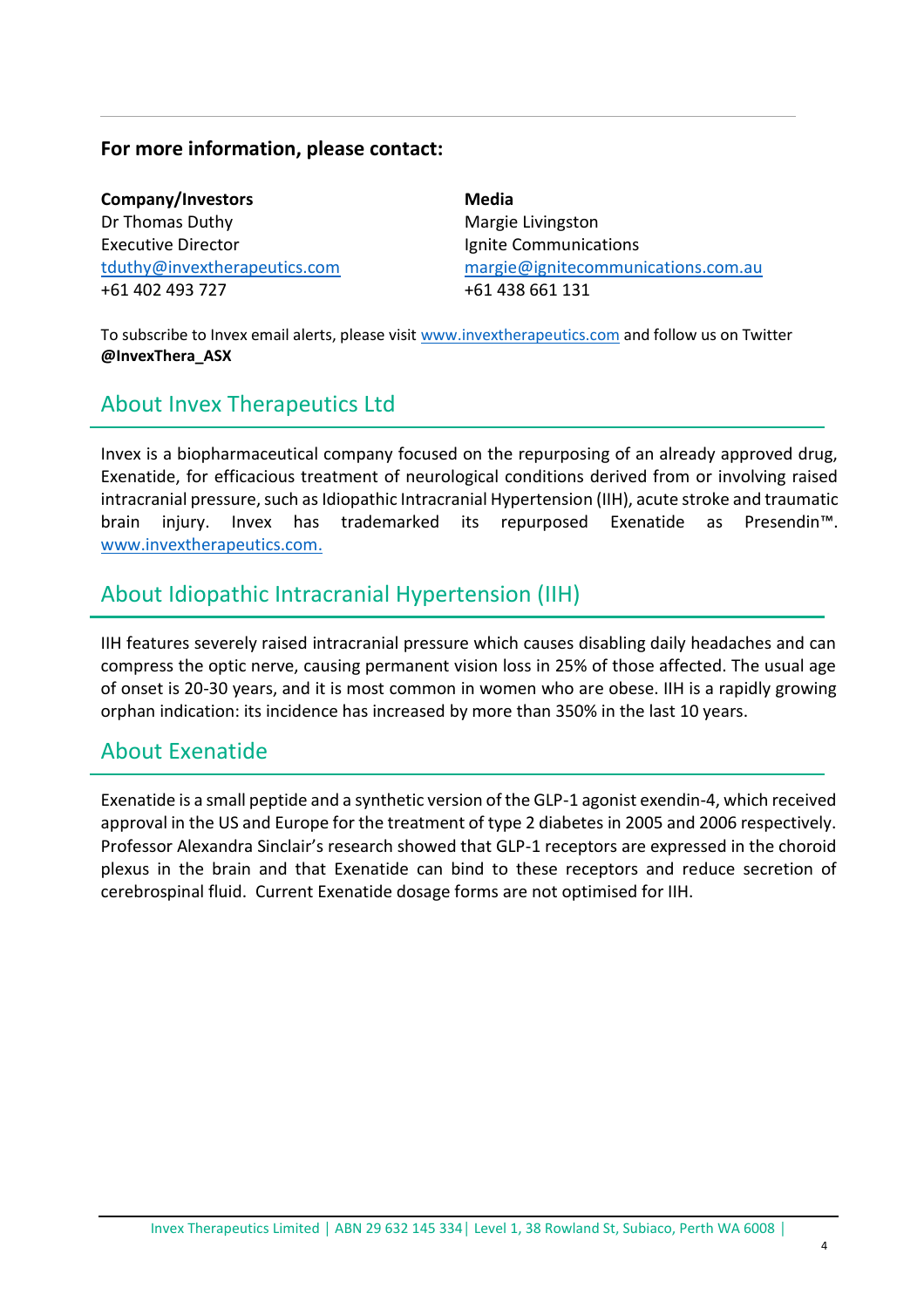### **For more information, please contact:**

**Company/Investors** Dr Thomas Duthy Executive Director [tduthy@invextherapeutics.com](mailto:tduthy@invextherapeutics.comu) +61 402 493 727

**Media** Margie Livingston Ignite Communications [margie@ignitecommunications.com.au](mailto:margie@ignitecommunications.com.au) +61 438 661 131

To subscribe to Invex email alerts, please visit [www.invextherapeutics.com](http://www.invextherapeutics.com/) and follow us on Twitter **@InvexThera\_ASX**

### About Invex Therapeutics Ltd

Invex is a biopharmaceutical company focused on the repurposing of an already approved drug, Exenatide, for efficacious treatment of neurological conditions derived from or involving raised intracranial pressure, such as Idiopathic Intracranial Hypertension (IIH), acute stroke and traumatic brain injury. Invex has trademarked its repurposed Exenatide as Presendin™. [www.invextherapeutics.com.](http://www.invextherapeutics.com/)

### About Idiopathic Intracranial Hypertension (IIH)

IIH features severely raised intracranial pressure which causes disabling daily headaches and can compress the optic nerve, causing permanent vision loss in 25% of those affected. The usual age of onset is 20-30 years, and it is most common in women who are obese. IIH is a rapidly growing orphan indication: its incidence has increased by more than 350% in the last 10 years.

### About Exenatide

Exenatide is a small peptide and a synthetic version of the GLP-1 agonist exendin-4, which received approval in the US and Europe for the treatment of type 2 diabetes in 2005 and 2006 respectively. Professor Alexandra Sinclair's research showed that GLP-1 receptors are expressed in the choroid plexus in the brain and that Exenatide can bind to these receptors and reduce secretion of cerebrospinal fluid. Current Exenatide dosage forms are not optimised for IIH.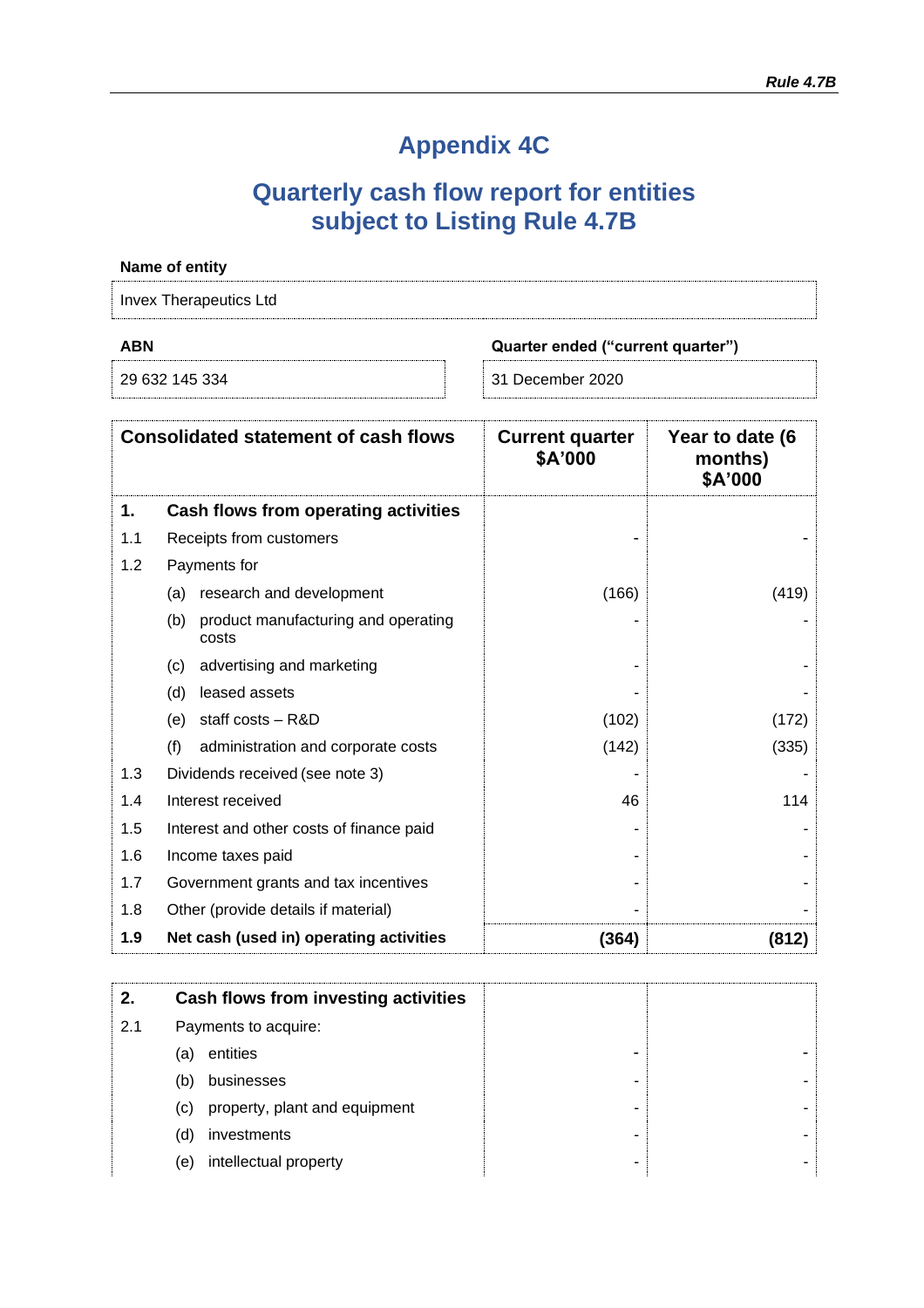# **Appendix 4C**

## **Quarterly cash flow report for entities subject to Listing Rule 4.7B**

|                                    | Name of entity                                      |                                   |                                       |
|------------------------------------|-----------------------------------------------------|-----------------------------------|---------------------------------------|
|                                    | <b>Invex Therapeutics Ltd</b>                       |                                   |                                       |
| <b>ABN</b>                         |                                                     | Quarter ended ("current quarter") |                                       |
| 29 632 145 334<br>31 December 2020 |                                                     |                                   |                                       |
|                                    | <b>Consolidated statement of cash flows</b>         | <b>Current quarter</b><br>\$A'000 | Year to date (6<br>months)<br>\$A'000 |
| 1.                                 | Cash flows from operating activities                |                                   |                                       |
| 1.1                                | Receipts from customers                             |                                   |                                       |
| 1.2                                | Payments for                                        |                                   |                                       |
|                                    | (a) research and development                        | (166)                             | (419)                                 |
|                                    | product manufacturing and operating<br>(b)<br>costs |                                   |                                       |
|                                    | advertising and marketing<br>(c)                    |                                   |                                       |
|                                    | leased assets<br>(d)                                |                                   |                                       |
|                                    | staff costs - R&D<br>(e)                            | (102)                             | (172)                                 |
|                                    | (f)<br>administration and corporate costs           | (142)                             | (335)                                 |
| 1.3                                | Dividends received (see note 3)                     |                                   |                                       |
| 1.4                                | Interest received                                   | 46                                | 114                                   |
| 1.5                                | Interest and other costs of finance paid            |                                   |                                       |
| 1.6                                | Income taxes paid                                   |                                   |                                       |
| 1.7                                | Government grants and tax incentives                |                                   |                                       |
| 1.8                                | Other (provide details if material)                 |                                   |                                       |
| 1.9                                | Net cash (used in) operating activities             | (364)                             | (812)                                 |

| 2.  |     | Cash flows from investing activities |
|-----|-----|--------------------------------------|
| 2.1 |     | Payments to acquire:                 |
|     | (a) | entities                             |
|     | (b) | businesses                           |
|     | (c) | property, plant and equipment        |
|     | (d) | investments                          |
|     | (e) | intellectual property                |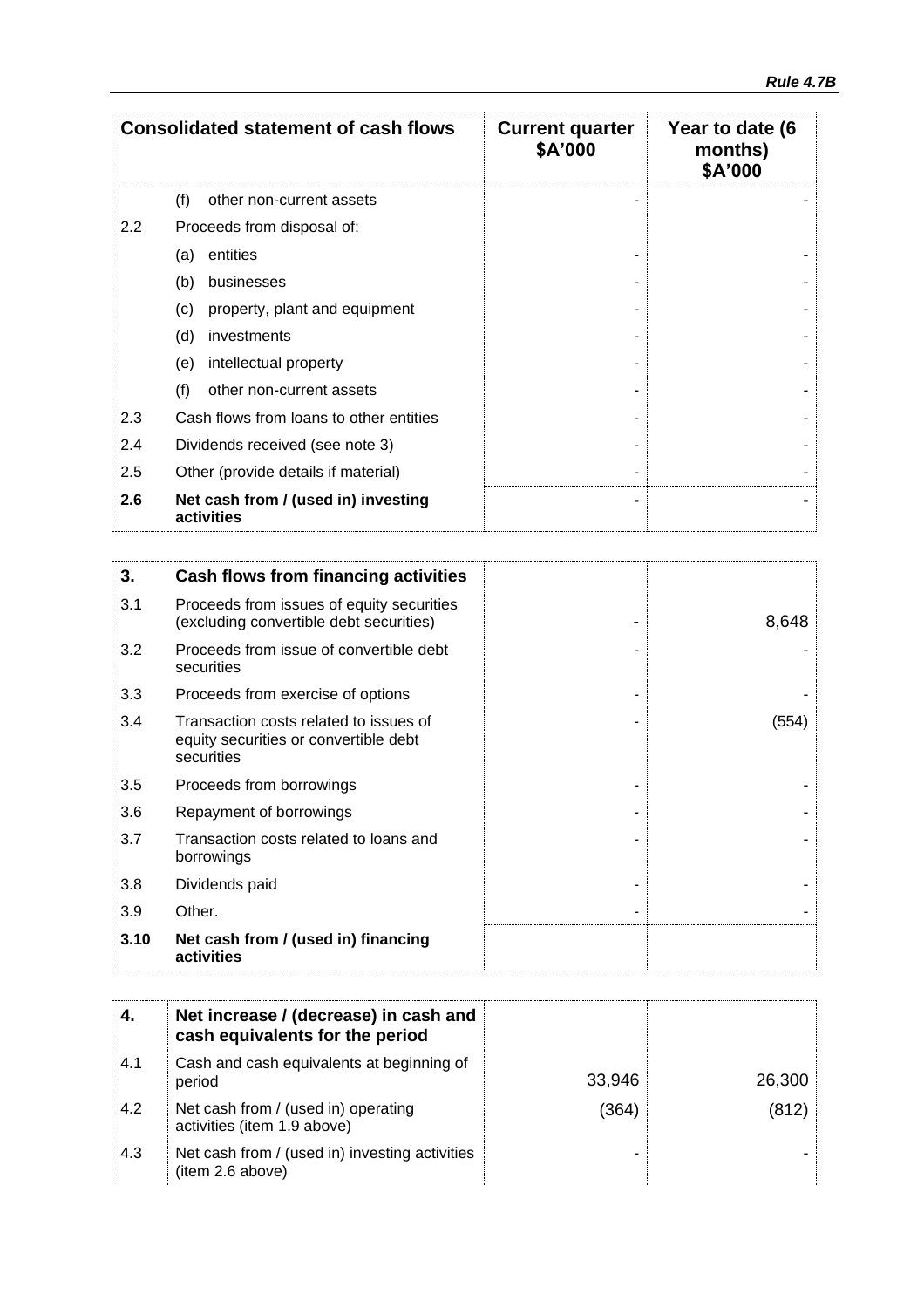| <b>Consolidated statement of cash flows</b> |                                                   | <b>Current quarter</b><br>\$A'000 | Year to date (6<br>months)<br>\$A'000 |
|---------------------------------------------|---------------------------------------------------|-----------------------------------|---------------------------------------|
|                                             | (f)<br>other non-current assets                   |                                   |                                       |
| $2.2\,$                                     | Proceeds from disposal of:                        |                                   |                                       |
|                                             | entities<br>(a)                                   |                                   |                                       |
|                                             | (b)<br>businesses                                 |                                   |                                       |
|                                             | (c)<br>property, plant and equipment              |                                   |                                       |
|                                             | (d)<br>investments                                |                                   |                                       |
|                                             | intellectual property<br>(e)                      |                                   |                                       |
|                                             | (f)<br>other non-current assets                   |                                   |                                       |
| 2.3                                         | Cash flows from loans to other entities           |                                   |                                       |
| 2.4                                         | Dividends received (see note 3)                   |                                   |                                       |
| 2.5                                         | Other (provide details if material)               |                                   |                                       |
| 2.6                                         | Net cash from / (used in) investing<br>activities |                                   |                                       |

| 3.   | <b>Cash flows from financing activities</b>                                                   |       |
|------|-----------------------------------------------------------------------------------------------|-------|
| 3.1  | Proceeds from issues of equity securities<br>(excluding convertible debt securities)          | 8,648 |
| 3.2  | Proceeds from issue of convertible debt<br>securities                                         |       |
| 3.3  | Proceeds from exercise of options                                                             |       |
| 3.4  | Transaction costs related to issues of<br>equity securities or convertible debt<br>securities | (554) |
| 3.5  | Proceeds from borrowings                                                                      |       |
| 3.6  | Repayment of borrowings                                                                       |       |
| 3.7  | Transaction costs related to loans and<br>borrowings                                          |       |
| 3.8  | Dividends paid                                                                                |       |
| 3.9  | Other.                                                                                        |       |
| 3.10 | Net cash from / (used in) financing<br>activities                                             |       |

|     | Net increase / (decrease) in cash and<br>cash equivalents for the period |        |        |
|-----|--------------------------------------------------------------------------|--------|--------|
| 4.1 | Cash and cash equivalents at beginning of<br>period                      | 33,946 | 26,300 |
| 4.2 | Net cash from / (used in) operating<br>activities (item 1.9 above)       | (364)  | (812)  |
| 4.3 | Net cash from / (used in) investing activities<br>(item 2.6 above)       |        |        |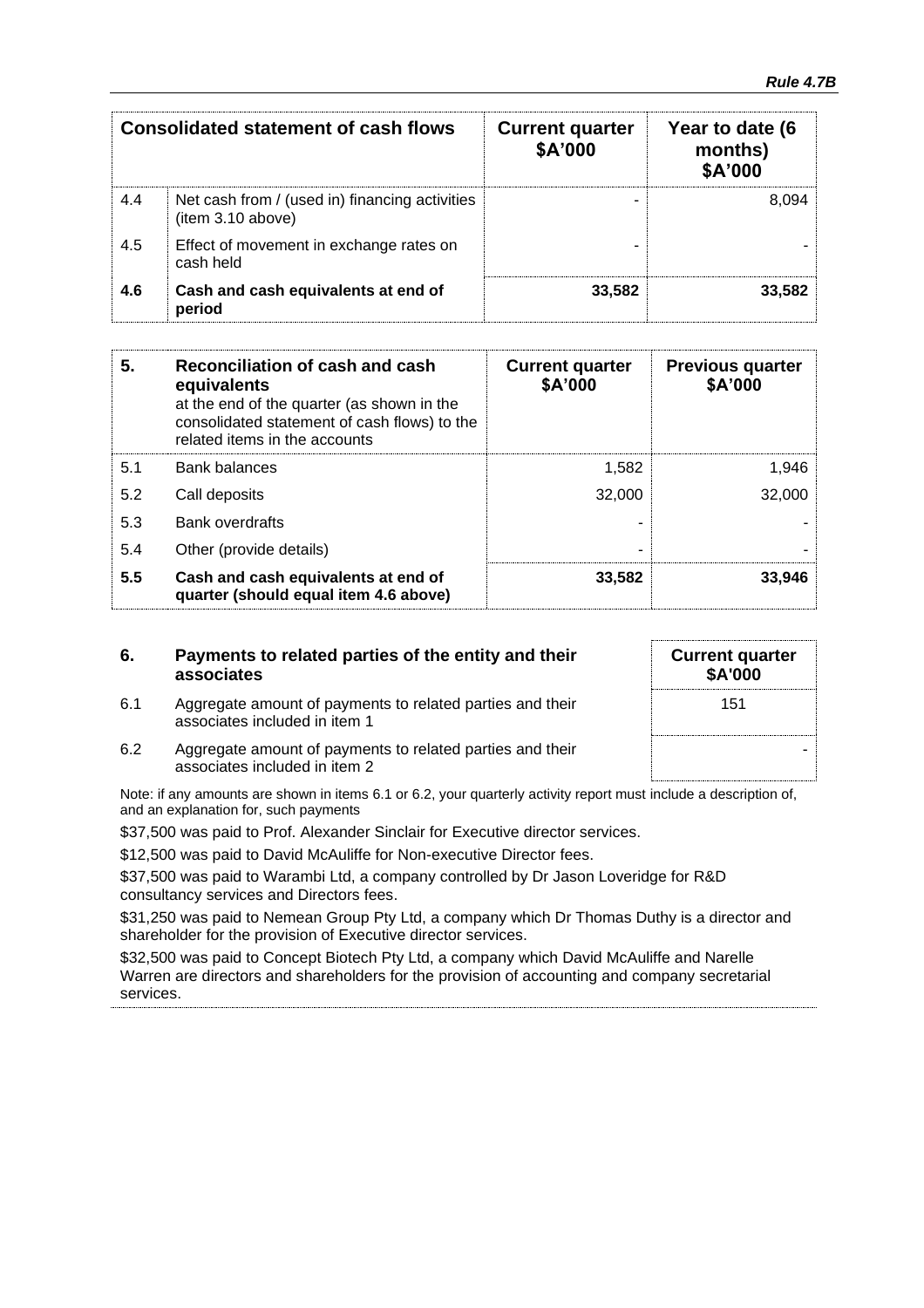| <b>Consolidated statement of cash flows</b> |                                                                     | <b>Current quarter</b><br>\$A'000 | Year to date (6<br>months)<br>\$A'000 |
|---------------------------------------------|---------------------------------------------------------------------|-----------------------------------|---------------------------------------|
| 4.4                                         | Net cash from / (used in) financing activities<br>(item 3.10 above) |                                   | 8.094                                 |
| 4.5                                         | Effect of movement in exchange rates on<br>cash held                |                                   |                                       |
| 4.6                                         | Cash and cash equivalents at end of<br>period                       | 33,582                            | 33,582                                |

| 5.  | Reconciliation of cash and cash<br>equivalents<br>at the end of the quarter (as shown in the<br>consolidated statement of cash flows) to the<br>related items in the accounts | <b>Current quarter</b><br>\$A'000 | <b>Previous quarter</b><br>\$A'000 |
|-----|-------------------------------------------------------------------------------------------------------------------------------------------------------------------------------|-----------------------------------|------------------------------------|
| 5.1 | <b>Bank balances</b>                                                                                                                                                          | 1.582                             | 1,946                              |
| 5.2 | Call deposits                                                                                                                                                                 | 32,000                            | 32,000                             |
| 5.3 | <b>Bank overdrafts</b>                                                                                                                                                        |                                   |                                    |
| 5.4 | Other (provide details)                                                                                                                                                       | -                                 |                                    |
| 5.5 | Cash and cash equivalents at end of<br>quarter (should equal item 4.6 above)                                                                                                  | 33,582                            | 33.946                             |

| 6. | Payments to related parties of the entity and their |
|----|-----------------------------------------------------|
|    | associates                                          |

6.1 Aggregate amount of payments to related parties and their

| <b>Current quarter</b><br>\$A'000 |  |
|-----------------------------------|--|
| 151                               |  |
|                                   |  |

associates included in item 1 6.2 Aggregate amount of payments to related parties and their associates included in item 2

Note: if any amounts are shown in items 6.1 or 6.2, your quarterly activity report must include a description of, and an explanation for, such payments

\$37,500 was paid to Prof. Alexander Sinclair for Executive director services.

\$12,500 was paid to David McAuliffe for Non-executive Director fees.

\$37,500 was paid to Warambi Ltd, a company controlled by Dr Jason Loveridge for R&D consultancy services and Directors fees.

\$31,250 was paid to Nemean Group Pty Ltd, a company which Dr Thomas Duthy is a director and shareholder for the provision of Executive director services.

\$32,500 was paid to Concept Biotech Pty Ltd, a company which David McAuliffe and Narelle Warren are directors and shareholders for the provision of accounting and company secretarial services.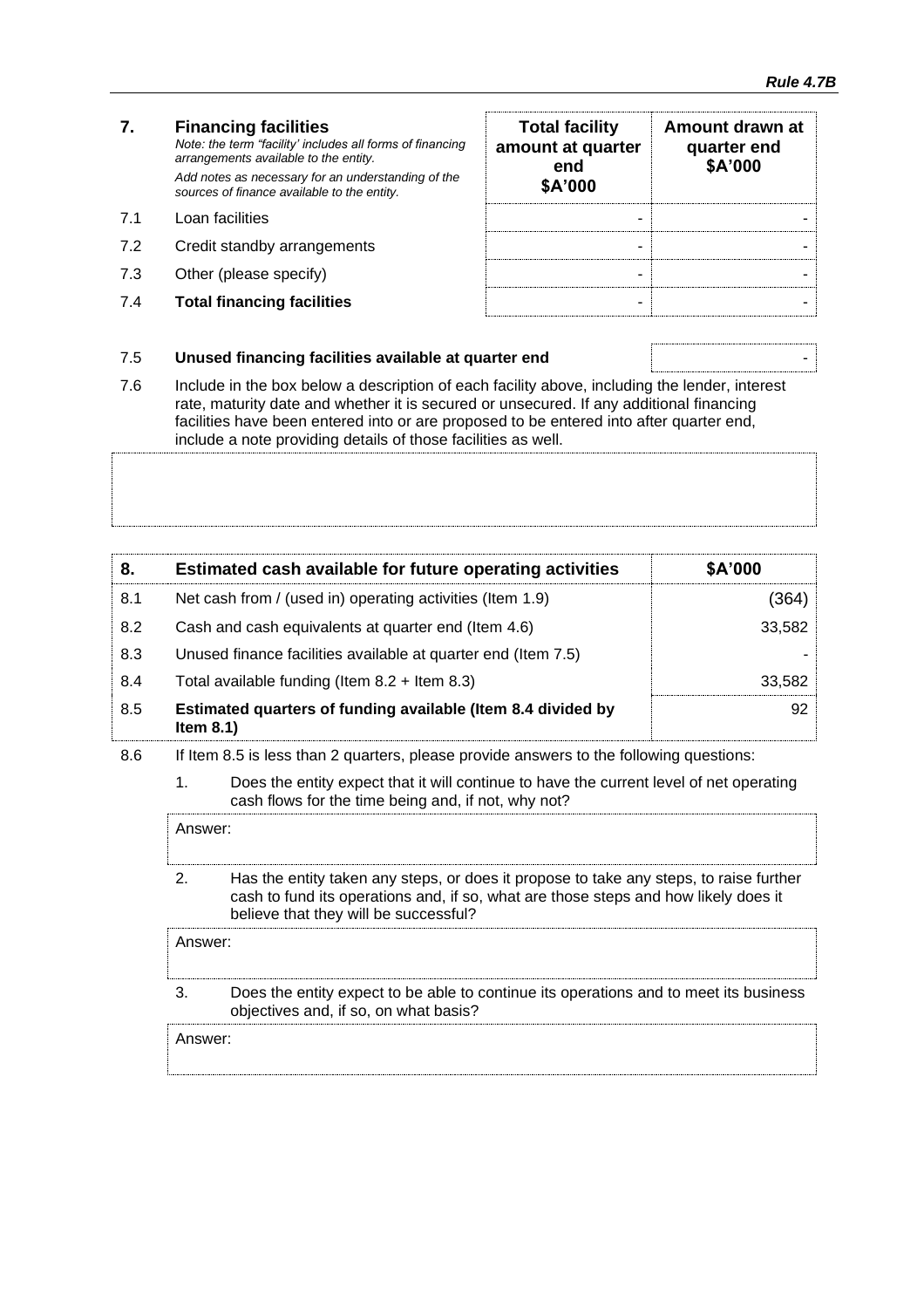### **7. Financing facilities** *Note: the term "facility' includes all forms of financing arrangements available to the entity. Add notes as necessary for an understanding of the sources of finance available to the entity.* 7.1 Loan facilities

- 7.2 Credit standby arrangements
- 7.3 Other (please specify)
- **7.4 Total financing facilities**

| <b>Total facility</b><br>amount at quarter<br>end<br>\$A'000 | Amount drawn at<br>quarter end<br>\$A'000 |
|--------------------------------------------------------------|-------------------------------------------|
|                                                              |                                           |
|                                                              |                                           |
|                                                              |                                           |
|                                                              |                                           |

#### 7.5 **Unused financing facilities available at quarter end** -

7.6 Include in the box below a description of each facility above, including the lender, interest rate, maturity date and whether it is secured or unsecured. If any additional financing facilities have been entered into or are proposed to be entered into after quarter end, include a note providing details of those facilities as well.

| 8.  | Estimated cash available for future operating activities                     | \$A'000 |
|-----|------------------------------------------------------------------------------|---------|
| 8.1 | Net cash from / (used in) operating activities (Item 1.9)                    | (364).  |
| 8.2 | Cash and cash equivalents at quarter end (Item 4.6)                          | 33,582  |
| 8.3 | Unused finance facilities available at quarter end (Item 7.5)                |         |
| 8.4 | Total available funding (Item $8.2 +$ Item $8.3$ )                           | 33.582  |
| 8.5 | Estimated quarters of funding available (Item 8.4 divided by<br>Item $8.1$ ) | 92      |

- 8.6 If Item 8.5 is less than 2 quarters, please provide answers to the following questions:
	- 1. Does the entity expect that it will continue to have the current level of net operating cash flows for the time being and, if not, why not?

Answer: 2. Has the entity taken any steps, or does it propose to take any steps, to raise further cash to fund its operations and, if so, what are those steps and how likely does it believe that they will be successful?

Answer:

3. Does the entity expect to be able to continue its operations and to meet its business objectives and, if so, on what basis?

Answer: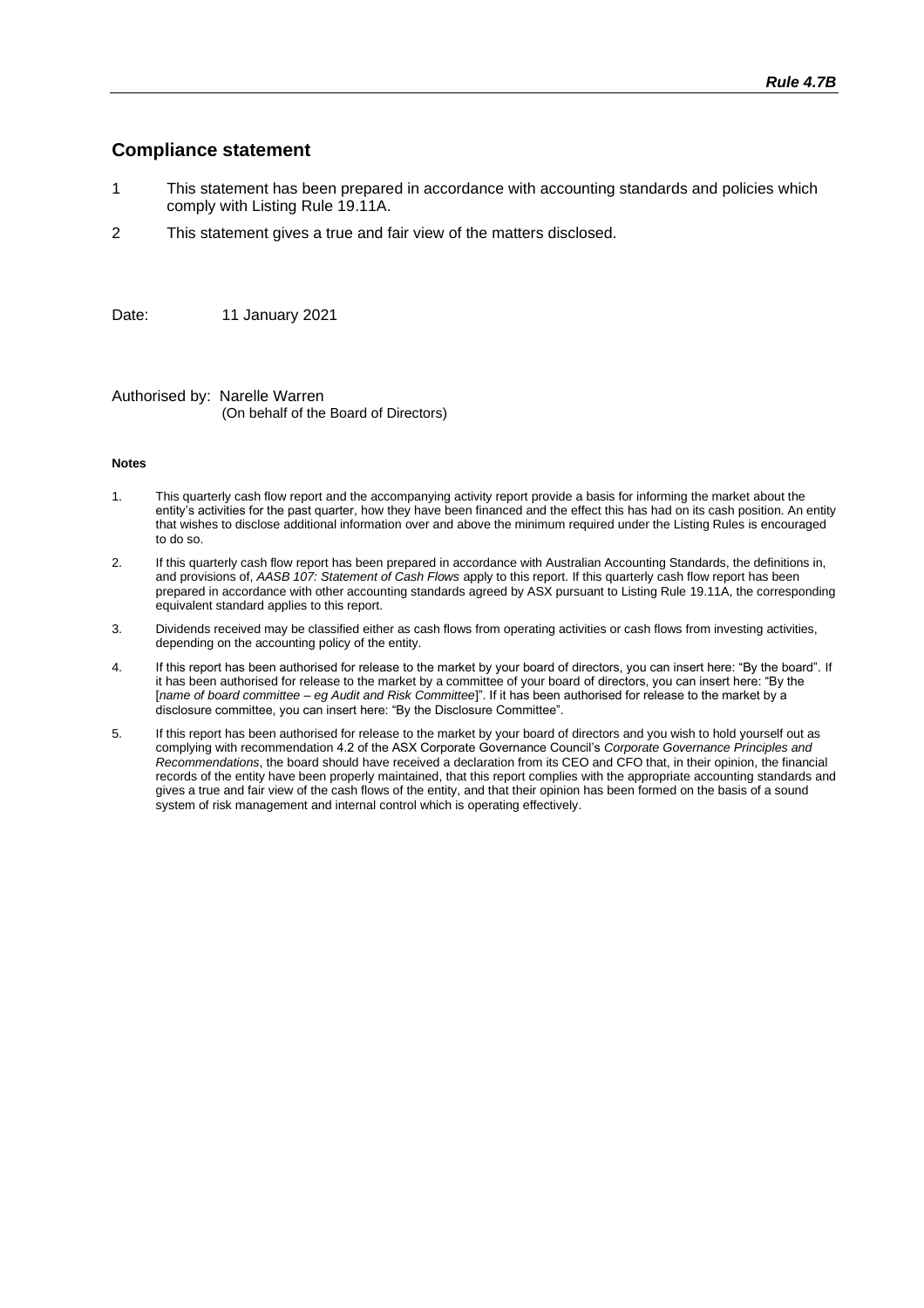#### **Compliance statement**

- 1 This statement has been prepared in accordance with accounting standards and policies which comply with Listing Rule 19.11A.
- 2 This statement gives a true and fair view of the matters disclosed.

Date: 11 January 2021

Authorised by: Narelle Warren (On behalf of the Board of Directors)

#### **Notes**

- 1. This quarterly cash flow report and the accompanying activity report provide a basis for informing the market about the entity's activities for the past quarter, how they have been financed and the effect this has had on its cash position. An entity that wishes to disclose additional information over and above the minimum required under the Listing Rules is encouraged to do so.
- 2. If this quarterly cash flow report has been prepared in accordance with Australian Accounting Standards, the definitions in, and provisions of, *AASB 107: Statement of Cash Flows* apply to this report. If this quarterly cash flow report has been prepared in accordance with other accounting standards agreed by ASX pursuant to Listing Rule 19.11A, the corresponding equivalent standard applies to this report.
- 3. Dividends received may be classified either as cash flows from operating activities or cash flows from investing activities, depending on the accounting policy of the entity.
- 4. If this report has been authorised for release to the market by your board of directors, you can insert here: "By the board". If it has been authorised for release to the market by a committee of your board of directors, you can insert here: "By the [*name of board committee* – *eg Audit and Risk Committee*]". If it has been authorised for release to the market by a disclosure committee, you can insert here: "By the Disclosure Committee".
- 5. If this report has been authorised for release to the market by your board of directors and you wish to hold yourself out as complying with recommendation 4.2 of the ASX Corporate Governance Council's *Corporate Governance Principles and Recommendations*, the board should have received a declaration from its CEO and CFO that, in their opinion, the financial records of the entity have been properly maintained, that this report complies with the appropriate accounting standards and gives a true and fair view of the cash flows of the entity, and that their opinion has been formed on the basis of a sound system of risk management and internal control which is operating effectively.